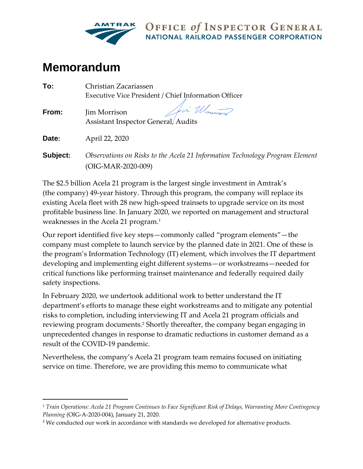

OFFICE of INSPECTOR GENERAL **NATIONAL RAILROAD PASSENGER CORPORATION** 

# **Memorandum**

| Christian Zacariassen                                                                              |  |  |
|----------------------------------------------------------------------------------------------------|--|--|
| Executive Vice President / Chief Information Officer                                               |  |  |
| Jei Women<br>Jim Morrison<br><b>Assistant Inspector General/Audits</b>                             |  |  |
| April 22, 2020                                                                                     |  |  |
| Observations on Risks to the Acela 21 Information Technology Program Element<br>(OIG-MAR-2020-009) |  |  |
|                                                                                                    |  |  |

The \$2.5 billion Acela 21 program is the largest single investment in Amtrak's (the company) 49-year history. Through this program, the company will replace its existing Acela fleet with 28 new high-speed trainsets to upgrade service on its most profitable business line. In January 2020, we reported on management and structural weaknesses in the Acela 21 program.<sup>1</sup>

Our report identified five key steps—commonly called "program elements"—the company must complete to launch service by the planned date in 2021. One of these is the program's Information Technology (IT) element, which involves the IT department developing and implementing eight different systems—or workstreams—needed for critical functions like performing trainset maintenance and federally required daily safety inspections.

In February 2020, we undertook additional work to better understand the IT department's efforts to manage these eight workstreams and to mitigate any potential risks to completion, including interviewing IT and Acela 21 program officials and reviewing program documents. <sup>2</sup> Shortly thereafter, the company began engaging in unprecedented changes in response to dramatic reductions in customer demand as a result of the COVID-19 pandemic.

Nevertheless, the company's Acela 21 program team remains focused on initiating service on time. Therefore, we are providing this memo to communicate what

<sup>1</sup> *Train Operations: Acela 21 Program Continues to Face Significant Risk of Delays, Warranting More Contingency Planning* (OIG-A-2020-004), January 21, 2020.

<sup>&</sup>lt;sup>2</sup> We conducted our work in accordance with standards we developed for alternative products.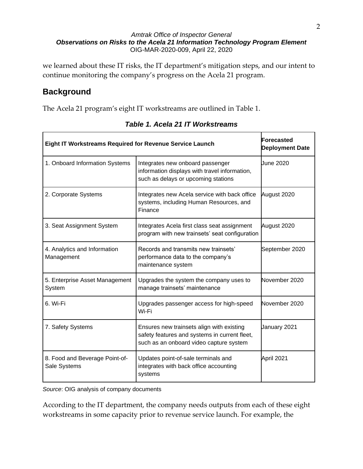#### *Amtrak Office of Inspector General Observations on Risks to the Acela 21 Information Technology Program Element* OIG-MAR-2020-009, April 22, 2020

we learned about these IT risks, the IT department's mitigation steps, and our intent to continue monitoring the company's progress on the Acela 21 program.

### **Background**

The Acela 21 program's eight IT workstreams are outlined in Table 1.

| <b>Eight IT Workstreams Required for Revenue Service Launch</b> |                                                                                                                                       | Forecasted<br><b>Deployment Date</b> |
|-----------------------------------------------------------------|---------------------------------------------------------------------------------------------------------------------------------------|--------------------------------------|
| 1. Onboard Information Systems                                  | Integrates new onboard passenger<br>information displays with travel information,<br>such as delays or upcoming stations              | June 2020                            |
| 2. Corporate Systems                                            | Integrates new Acela service with back office<br>systems, including Human Resources, and<br>Finance                                   | August 2020                          |
| 3. Seat Assignment System                                       | Integrates Acela first class seat assignment<br>program with new trainsets' seat configuration                                        | August 2020                          |
| 4. Analytics and Information<br>Management                      | Records and transmits new trainsets'<br>performance data to the company's<br>maintenance system                                       | September 2020                       |
| 5. Enterprise Asset Management<br>System                        | Upgrades the system the company uses to<br>manage trainsets' maintenance                                                              | November 2020                        |
| 6. Wi-Fi                                                        | Upgrades passenger access for high-speed<br>Wi-Fi                                                                                     | November 2020                        |
| 7. Safety Systems                                               | Ensures new trainsets align with existing<br>safety features and systems in current fleet,<br>such as an onboard video capture system | January 2021                         |
| 8. Food and Beverage Point-of-<br>Sale Systems                  | Updates point-of-sale terminals and<br>integrates with back office accounting<br>systems                                              | April 2021                           |

*Table 1. Acela 21 IT Workstreams*

*Source*: OIG analysis of company documents

According to the IT department, the company needs outputs from each of these eight workstreams in some capacity prior to revenue service launch. For example, the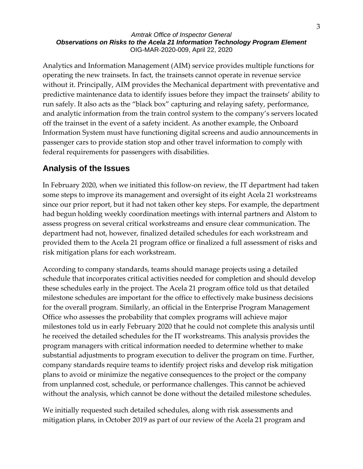#### *Amtrak Office of Inspector General Observations on Risks to the Acela 21 Information Technology Program Element* OIG-MAR-2020-009, April 22, 2020

Analytics and Information Management (AIM) service provides multiple functions for operating the new trainsets. In fact, the trainsets cannot operate in revenue service without it. Principally, AIM provides the Mechanical department with preventative and predictive maintenance data to identify issues before they impact the trainsets' ability to run safely. It also acts as the "black box" capturing and relaying safety, performance, and analytic information from the train control system to the company's servers located off the trainset in the event of a safety incident. As another example, the Onboard Information System must have functioning digital screens and audio announcements in passenger cars to provide station stop and other travel information to comply with federal requirements for passengers with disabilities.

### **Analysis of the Issues**

In February 2020, when we initiated this follow-on review, the IT department had taken some steps to improve its management and oversight of its eight Acela 21 workstreams since our prior report, but it had not taken other key steps. For example, the department had begun holding weekly coordination meetings with internal partners and Alstom to assess progress on several critical workstreams and ensure clear communication. The department had not, however, finalized detailed schedules for each workstream and provided them to the Acela 21 program office or finalized a full assessment of risks and risk mitigation plans for each workstream.

According to company standards, teams should manage projects using a detailed schedule that incorporates critical activities needed for completion and should develop these schedules early in the project. The Acela 21 program office told us that detailed milestone schedules are important for the office to effectively make business decisions for the overall program. Similarly, an official in the Enterprise Program Management Office who assesses the probability that complex programs will achieve major milestones told us in early February 2020 that he could not complete this analysis until he received the detailed schedules for the IT workstreams. This analysis provides the program managers with critical information needed to determine whether to make substantial adjustments to program execution to deliver the program on time. Further, company standards require teams to identify project risks and develop risk mitigation plans to avoid or minimize the negative consequences to the project or the company from unplanned cost, schedule, or performance challenges. This cannot be achieved without the analysis, which cannot be done without the detailed milestone schedules.

We initially requested such detailed schedules, along with risk assessments and mitigation plans, in October 2019 as part of our review of the Acela 21 program and